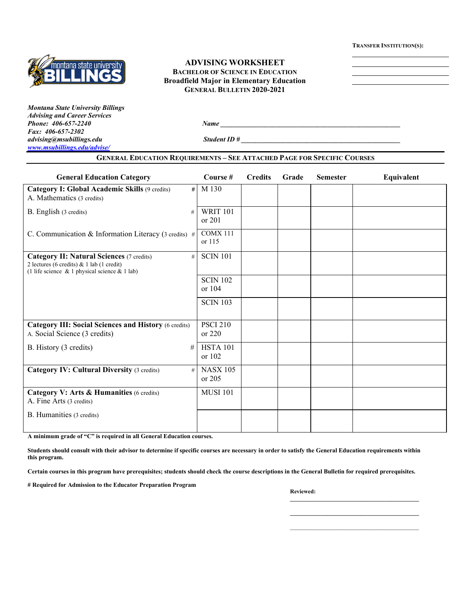**TRANSFER INSTITUTION(S):**



### **ADVISING WORKSHEET BACHELOR OF SCIENCE IN EDUCATION Broadfield Major in Elementary Education GENERAL BULLETIN 2020-2021**

*Montana State University Billings Advising and Career Services Phone:* 406-657-2240 *Name Name Name Name Name Name Name Name Name Name Name Name Name Name Name Name Name Name Name Name Name Name Name Name Name Name Name Name Nam Fax: 406-657-2302 [www.msubillings.edu/advise/](http://www.msubillings.edu/advise/)*

*Student ID #* 

# **GENERAL EDUCATION REQUIREMENTS – SEE ATTACHED PAGE FOR SPECIFIC COURSES General Education Category Course # Credits Grade Semester Equivalent**

| Ocheral Equitation Category                                                                                                                         | $_{\rm \sim out}$ sc $_{\pi}$ | <b>ULCUILS</b> | <b>STATE</b> | решемен | ецигани |
|-----------------------------------------------------------------------------------------------------------------------------------------------------|-------------------------------|----------------|--------------|---------|---------|
| Category I: Global Academic Skills (9 credits)<br>#<br>A. Mathematics (3 credits)                                                                   | M 130                         |                |              |         |         |
|                                                                                                                                                     |                               |                |              |         |         |
| B. English (3 credits)<br>#                                                                                                                         | <b>WRIT 101</b><br>or $201$   |                |              |         |         |
| C. Communication & Information Literacy (3 credits) #                                                                                               | <b>COMX 111</b><br>or 115     |                |              |         |         |
| <b>Category II: Natural Sciences (7 credits)</b><br>#<br>2 lectures (6 credits) & 1 lab (1 credit)<br>(1 life science & 1 physical science & 1 lab) | <b>SCIN 101</b>               |                |              |         |         |
|                                                                                                                                                     | <b>SCIN 102</b>               |                |              |         |         |
|                                                                                                                                                     | or $104$                      |                |              |         |         |
|                                                                                                                                                     | <b>SCIN 103</b>               |                |              |         |         |
| <b>Category III: Social Sciences and History (6 credits)</b><br>A. Social Science (3 credits)                                                       | <b>PSCI 210</b><br>or $220$   |                |              |         |         |
| B. History (3 credits)<br>#                                                                                                                         | <b>HSTA 101</b><br>or $102$   |                |              |         |         |
| <b>Category IV: Cultural Diversity (3 credits)</b><br>#                                                                                             | <b>NASX 105</b><br>or 205     |                |              |         |         |
| Category V: Arts & Humanities (6 credits)<br>A. Fine Arts (3 credits)                                                                               | <b>MUSI 101</b>               |                |              |         |         |
| B. Humanities (3 credits)                                                                                                                           |                               |                |              |         |         |
|                                                                                                                                                     |                               |                |              |         |         |

**A minimum grade of "C" is required in all General Education courses.** 

**Students should consult with their advisor to determine if specific courses are necessary in order to satisfy the General Education requirements within this program.**

**Certain courses in this program have prerequisites; students should check the course descriptions in the General Bulletin for required prerequisites.**

**# Required for Admission to the Educator Preparation Program**

**Reviewed:** 

**\_\_\_\_\_\_\_\_\_\_\_\_\_\_\_\_\_\_\_\_\_\_\_\_\_\_\_\_\_\_\_\_\_\_\_\_\_\_\_\_\_\_ \_\_\_\_\_\_\_\_\_\_\_\_\_\_\_\_\_\_\_\_\_\_\_\_\_\_\_\_\_\_\_\_\_\_\_\_\_\_\_\_\_\_**  $\mathcal{L}_\text{max}$  and  $\mathcal{L}_\text{max}$  and  $\mathcal{L}_\text{max}$  and  $\mathcal{L}_\text{max}$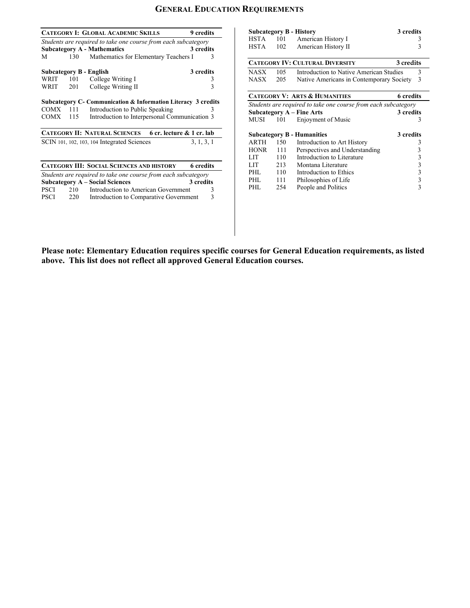# **GENERAL EDUCATION REQUIREMENTS**

|                                                               |     | CATEGORY I: GLOBAL ACADEMIC SKILLS                             | 9 credits        |  |  |  |
|---------------------------------------------------------------|-----|----------------------------------------------------------------|------------------|--|--|--|
|                                                               |     | Students are required to take one course from each subcategory |                  |  |  |  |
|                                                               |     | <b>Subcategory A - Mathematics</b>                             | 3 credits        |  |  |  |
| М                                                             | 130 | Mathematics for Elementary Teachers I                          | 3                |  |  |  |
|                                                               |     | Subcategory B - English                                        | 3 credits        |  |  |  |
| WRIT                                                          | 101 | College Writing I                                              | 3                |  |  |  |
| WRIT                                                          | 201 | College Writing II                                             | 3                |  |  |  |
| Subcategory C- Communication & Information Literacy 3 credits |     |                                                                |                  |  |  |  |
| COMX 111                                                      |     | Introduction to Public Speaking                                | 3                |  |  |  |
| COMX                                                          | 115 | Introduction to Interpersonal Communication 3                  |                  |  |  |  |
| CATEGORY II: NATURAL SCIENCES 6 cr. lecture & 1 cr. lab       |     |                                                                |                  |  |  |  |
|                                                               |     | SCIN 101, 102, 103, 104 Integrated Sciences                    | 3, 1, 3, 1       |  |  |  |
|                                                               |     |                                                                |                  |  |  |  |
|                                                               |     | <b>CATEGORY III: SOCIAL SCIENCES AND HISTORY</b>               | <b>6</b> credits |  |  |  |
|                                                               |     | Students are required to take one course from each subcategory |                  |  |  |  |
|                                                               |     | <b>Subcategory A – Social Sciences</b>                         | 3 credits        |  |  |  |
| <b>PSCI</b>                                                   | 210 | Introduction to American Government                            | 3                |  |  |  |
| PSCI                                                          | 220 | Introduction to Comparative Government                         | 3                |  |  |  |
|                                                               |     |                                                                |                  |  |  |  |

|                                                                |     | <b>Subcategory B - History</b>           | 3 credits               |  |  |
|----------------------------------------------------------------|-----|------------------------------------------|-------------------------|--|--|
| <b>HSTA</b>                                                    | 101 | American History I                       | 3                       |  |  |
| <b>HSTA</b>                                                    | 102 | American History II                      | 3                       |  |  |
|                                                                |     |                                          |                         |  |  |
| <b>CATEGORY IV: CULTURAL DIVERSITY</b><br>3 credits            |     |                                          |                         |  |  |
| <b>NASX</b>                                                    | 105 | Introduction to Native American Studies  | 3                       |  |  |
| <b>NASX</b>                                                    | 205 | Native Americans in Contemporary Society | 3                       |  |  |
|                                                                |     |                                          |                         |  |  |
|                                                                |     | <b>CATEGORY V: ARTS &amp; HUMANITIES</b> | <b>6</b> credits        |  |  |
| Students are required to take one course from each subcategory |     |                                          |                         |  |  |
|                                                                |     | <b>Subcategory A - Fine Arts</b>         | 3 credits               |  |  |
| MUSI                                                           | 101 | Enjoyment of Music                       | 3                       |  |  |
|                                                                |     |                                          |                         |  |  |
|                                                                |     | <b>Subcategory B - Humanities</b>        | 3 credits               |  |  |
| <b>ARTH</b>                                                    | 150 | Introduction to Art History              | 3                       |  |  |
| <b>HONR</b>                                                    | 111 | Perspectives and Understanding           | 3                       |  |  |
| LIT                                                            | 110 | Introduction to Literature               | $\overline{\mathbf{3}}$ |  |  |
| LIT                                                            | 213 | Montana Literature                       | 3                       |  |  |
| PHL                                                            | 110 | Introduction to Ethics                   | 3                       |  |  |
| PHL                                                            | 111 | Philosophies of Life                     | 3                       |  |  |
| PHL                                                            | 254 | People and Politics                      | 3                       |  |  |

**Please note: Elementary Education requires specific courses for General Education requirements, as listed above. This list does not reflect all approved General Education courses.**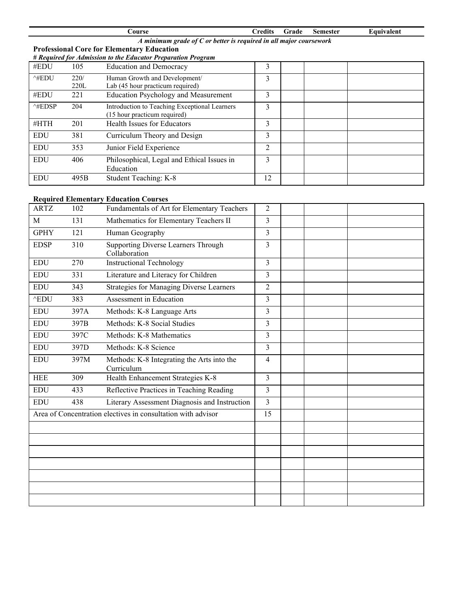| Course                                                               |                                               |                                                                                                                                                                 | Grade          | <b>Semester</b> | Equivalent |  |
|----------------------------------------------------------------------|-----------------------------------------------|-----------------------------------------------------------------------------------------------------------------------------------------------------------------|----------------|-----------------|------------|--|
| A minimum grade of $C$ or better is required in all major coursework |                                               |                                                                                                                                                                 |                |                 |            |  |
|                                                                      |                                               |                                                                                                                                                                 |                |                 |            |  |
|                                                                      |                                               |                                                                                                                                                                 |                |                 |            |  |
| 105                                                                  | <b>Education and Democracy</b>                | 3                                                                                                                                                               |                |                 |            |  |
| 220/                                                                 | Human Growth and Development/                 | 3                                                                                                                                                               |                |                 |            |  |
| 220L                                                                 | Lab (45 hour practicum required)              |                                                                                                                                                                 |                |                 |            |  |
| 221                                                                  | <b>Education Psychology and Measurement</b>   | 3                                                                                                                                                               |                |                 |            |  |
| 204                                                                  | Introduction to Teaching Exceptional Learners | 3                                                                                                                                                               |                |                 |            |  |
|                                                                      | (15 hour practicum required)                  |                                                                                                                                                                 |                |                 |            |  |
| 201                                                                  | Health Issues for Educators                   | 3                                                                                                                                                               |                |                 |            |  |
| 381                                                                  | Curriculum Theory and Design                  | 3                                                                                                                                                               |                |                 |            |  |
| 353                                                                  | Junior Field Experience                       | 2                                                                                                                                                               |                |                 |            |  |
| 406                                                                  |                                               | 3                                                                                                                                                               |                |                 |            |  |
|                                                                      | Education                                     |                                                                                                                                                                 |                |                 |            |  |
| 495B                                                                 | Student Teaching: K-8                         | 12                                                                                                                                                              |                |                 |            |  |
|                                                                      |                                               | <b>Professional Core for Elementary Education</b><br># Required for Admission to the Educator Preparation Program<br>Philosophical, Legal and Ethical Issues in | <b>Credits</b> |                 |            |  |

## **Required Elementary Education Courses**

| <b>ARTZ</b>                                                  | 102  | Fundamentals of Art for Elementary Teachers              | $\overline{2}$ |  |  |
|--------------------------------------------------------------|------|----------------------------------------------------------|----------------|--|--|
| M                                                            | 131  | Mathematics for Elementary Teachers II                   | 3              |  |  |
| <b>GPHY</b>                                                  | 121  | Human Geography                                          | 3              |  |  |
| <b>EDSP</b>                                                  | 310  | Supporting Diverse Learners Through<br>Collaboration     | 3              |  |  |
| <b>EDU</b>                                                   | 270  | <b>Instructional Technology</b>                          | $\overline{3}$ |  |  |
| <b>EDU</b>                                                   | 331  | Literature and Literacy for Children                     | $\mathcal{E}$  |  |  |
| <b>EDU</b>                                                   | 343  | <b>Strategies for Managing Diverse Learners</b>          | $\overline{2}$ |  |  |
| $^{\wedge}$ EDU                                              | 383  | Assessment in Education                                  | $\overline{3}$ |  |  |
| <b>EDU</b>                                                   | 397A | Methods: K-8 Language Arts                               | $\overline{3}$ |  |  |
| <b>EDU</b>                                                   | 397B | Methods: K-8 Social Studies                              | $\overline{3}$ |  |  |
| <b>EDU</b>                                                   | 397C | Methods: K-8 Mathematics                                 | $\overline{3}$ |  |  |
| <b>EDU</b>                                                   | 397D | Methods: K-8 Science                                     | $\overline{3}$ |  |  |
| <b>EDU</b>                                                   | 397M | Methods: K-8 Integrating the Arts into the<br>Curriculum | $\overline{4}$ |  |  |
| <b>HEE</b>                                                   | 309  | Health Enhancement Strategies K-8                        | 3              |  |  |
| <b>EDU</b>                                                   | 433  | Reflective Practices in Teaching Reading                 | 3              |  |  |
| <b>EDU</b>                                                   | 438  | Literary Assessment Diagnosis and Instruction            | $\overline{3}$ |  |  |
| Area of Concentration electives in consultation with advisor |      | 15                                                       |                |  |  |
|                                                              |      |                                                          |                |  |  |
|                                                              |      |                                                          |                |  |  |
|                                                              |      |                                                          |                |  |  |
|                                                              |      |                                                          |                |  |  |
|                                                              |      |                                                          |                |  |  |
|                                                              |      |                                                          |                |  |  |
|                                                              |      |                                                          |                |  |  |